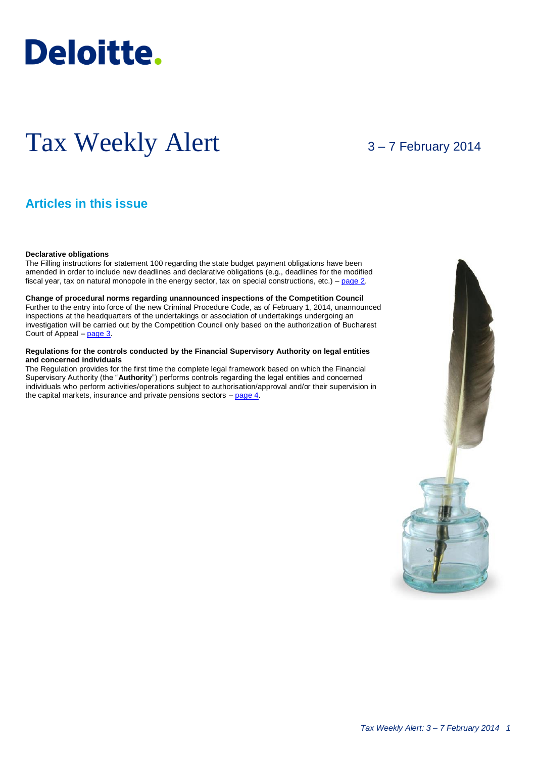# **Deloitte.**

## Tax Weekly Alert

3 – 7 February 2014

## **Articles in this issue**

#### **Declarative obligations**

The Filling instructions for statement 100 regarding the state budget payment obligations have been amended in order to include new deadlines and declarative obligations (e.g., deadlines for the modified fiscal year, tax on natural monopole in the energy sector, tax on special constructions, etc.) – [page 2.](#page-1-0)

**Change of procedural norms regarding unannounced inspections of the Competition Council**  Further to the entry into force of the new Criminal Procedure Code, as of February 1, 2014, unannounced inspections at the headquarters of the undertakings or association of undertakings undergoing an investigation will be carried out by the Competition Council only based on the authorization of Bucharest Court of Appeal – [page 3.](#page-2-0)

#### **Regulations for the controls conducted by the Financial Supervisory Authority on legal entities and concerned individuals**

The Regulation provides for the first time the complete legal framework based on which the Financial Supervisory Authority (the "**Authority**") performs controls regarding the legal entities and concerned individuals who perform activities/operations subject to authorisation/approval and/or their supervision in the capital markets, insurance and private pensions sectors  $-\frac{\text{page 4}}{\text{page 4}}$ .

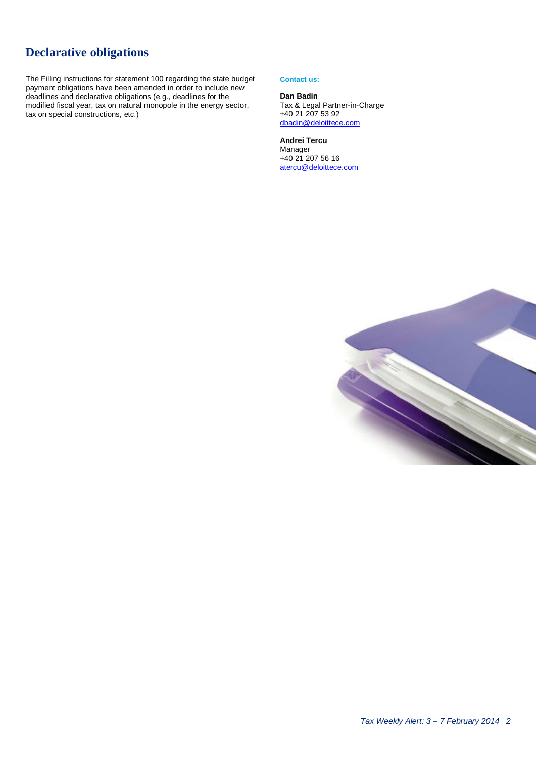## <span id="page-1-0"></span>**Declarative obligations**

The Filling instructions for statement 100 regarding the state budget payment obligations have been amended in order to include new deadlines and declarative obligations (e.g., deadlines for the modified fiscal year, tax on natural monopole in the energy sector, tax on special constructions, etc.)

#### **Contact us:**

#### **Dan Badin** Tax & Legal Partner-in-Charge +40 21 207 53 92 [dbadin@deloittece.com](mailto:dbadin@deloittece.com)

**Andrei Tercu** Manager +40 21 207 56 16 [atercu@deloittece.com](mailto:atercu@deloittece.com)

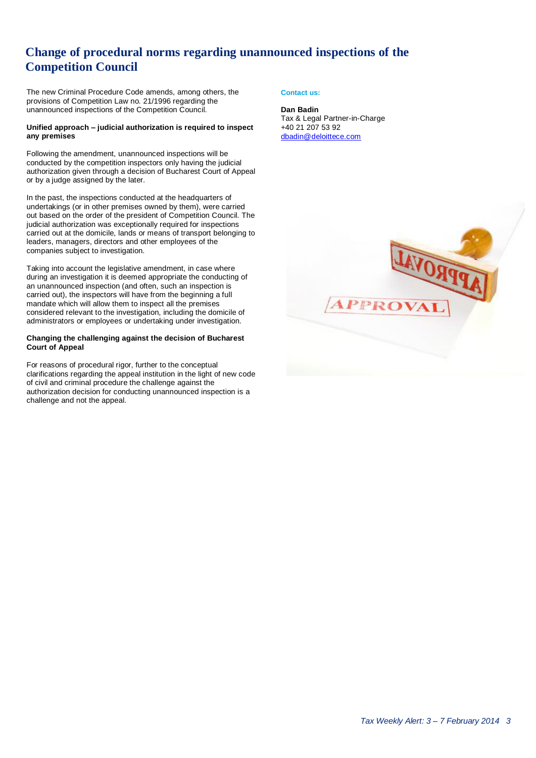## <span id="page-2-0"></span>**Change of procedural norms regarding unannounced inspections of the Competition Council**

The new Criminal Procedure Code amends, among others, the provisions of Competition Law no. 21/1996 regarding the unannounced inspections of the Competition Council.

#### **Unified approach – judicial authorization is required to inspect any premises**

Following the amendment, unannounced inspections will be conducted by the competition inspectors only having the judicial authorization given through a decision of Bucharest Court of Appeal or by a judge assigned by the later.

In the past, the inspections conducted at the headquarters of undertakings (or in other premises owned by them), were carried out based on the order of the president of Competition Council. The judicial authorization was exceptionally required for inspections carried out at the domicile, lands or means of transport belonging to leaders, managers, directors and other employees of the companies subject to investigation.

Taking into account the legislative amendment, in case where during an investigation it is deemed appropriate the conducting of an unannounced inspection (and often, such an inspection is carried out), the inspectors will have from the beginning a full mandate which will allow them to inspect all the premises considered relevant to the investigation, including the domicile of administrators or employees or undertaking under investigation.

#### **Changing the challenging against the decision of Bucharest Court of Appeal**

For reasons of procedural rigor, further to the conceptual clarifications regarding the appeal institution in the light of new code of civil and criminal procedure the challenge against the authorization decision for conducting unannounced inspection is a challenge and not the appeal.

#### **Contact us:**

**Dan Badin** Tax & Legal Partner-in-Charge +40 21 207 53 92 [dbadin@deloittece.com](mailto:dbadin@deloittece.com)

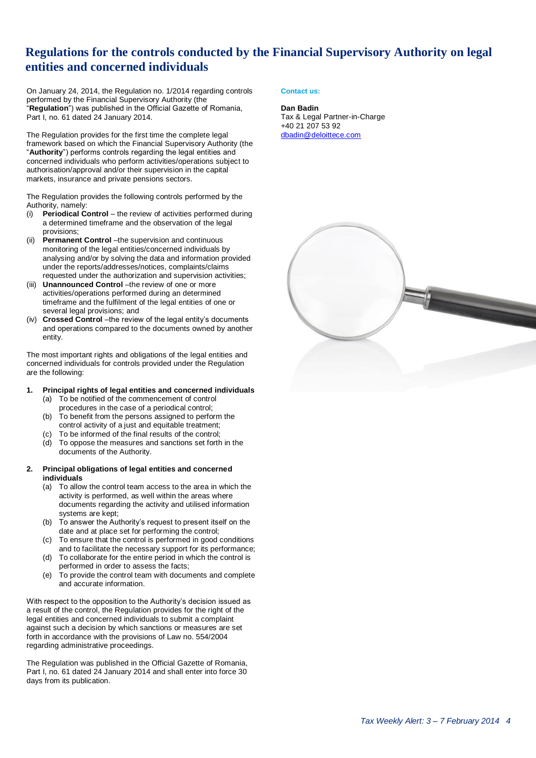### **Regulations for the controls conducted by the Financial Supervisory Authority on legal entities and concerned individuals**

On January 24, 2014, the Regulation no. 1/2014 regarding controls performed by the Financial Supervisory Authority (the "**Regulation**") was published in the Official Gazette of Romania, Part I, no. 61 dated 24 January 2014.

The Regulation provides for the first time the complete legal framework based on which the Financial Supervisory Authority (the "**Authority**") performs controls regarding the legal entities and concerned individuals who perform activities/operations subject to authorisation/approval and/or their supervision in the capital markets, insurance and private pensions sectors.

The Regulation provides the following controls performed by the Authority, namely:

- (i) **Periodical Control** the review of activities performed during a determined timeframe and the observation of the legal provisions;
- (ii) **Permanent Control** –the supervision and continuous monitoring of the legal entities/concerned individuals by analysing and/or by solving the data and information provided under the reports/addresses/notices, complaints/claims requested under the authorization and supervision activities;
- (iii) **Unannounced Control** –the review of one or more activities/operations performed during an determined timeframe and the fulfilment of the legal entities of one or several legal provisions; and
- (iv) **Crossed Control** –the review of the legal entity's documents and operations compared to the documents owned by another entity.

The most important rights and obligations of the legal entities and concerned individuals for controls provided under the Regulation are the following:

#### **1. Principal rights of legal entities and concerned individuals**

- (a) To be notified of the commencement of control procedures in the case of a periodical control;
- (b) To benefit from the persons assigned to perform the control activity of a just and equitable treatment;
- (c) To be informed of the final results of the control;
- (d) To oppose the measures and sanctions set forth in the documents of the Authority.

#### **2. Principal obligations of legal entities and concerned individuals**

- (a) To allow the control team access to the area in which the activity is performed, as well within the areas where documents regarding the activity and utilised information systems are kept;
- (b) To answer the Authority's request to present itself on the date and at place set for performing the control;
- (c) To ensure that the control is performed in good conditions and to facilitate the necessary support for its performance;
- (d) To collaborate for the entire period in which the control is performed in order to assess the facts;
- (e) To provide the control team with documents and complete and accurate information.

With respect to the opposition to the Authority's decision issued as a result of the control, the Regulation provides for the right of the legal entities and concerned individuals to submit a complaint against such a decision by which sanctions or measures are set forth in accordance with the provisions of Law no. 554/2004 regarding administrative proceedings.

The Regulation was published in the Official Gazette of Romania, Part I, no. 61 dated 24 January 2014 and shall enter into force 30 days from its publication.

#### <span id="page-3-0"></span>**Contact us:**

#### **Dan Badin**

Tax & Legal Partner-in-Charge +40 21 207 53 92 [dbadin@deloittece.com](mailto:dbadin@deloittece.com)